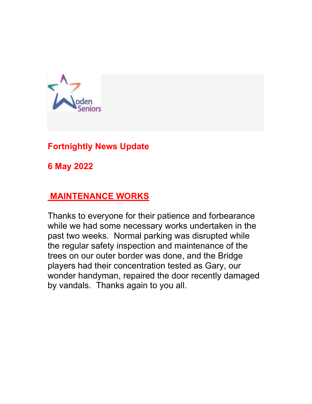

# Fortnightly News Update

6 May 2022

## MAINTENANCE WORKS

Thanks to everyone for their patience and forbearance while we had some necessary works undertaken in the past two weeks. Normal parking was disrupted while the regular safety inspection and maintenance of the trees on our outer border was done, and the Bridge players had their concentration tested as Gary, our wonder handyman, repaired the door recently damaged by vandals. Thanks again to you all.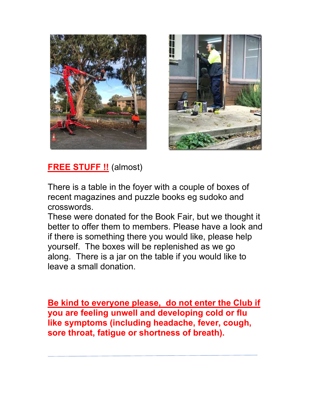



**FREE STUFF !!** (almost)

There is a table in the foyer with a couple of boxes of recent magazines and puzzle books eg sudoko and crosswords.

These were donated for the Book Fair, but we thought it better to offer them to members. Please have a look and if there is something there you would like, please help yourself. The boxes will be replenished as we go along. There is a jar on the table if you would like to leave a small donation.

Be kind to everyone please, do not enter the Club if you are feeling unwell and developing cold or flu like symptoms (including headache, fever, cough, sore throat, fatigue or shortness of breath).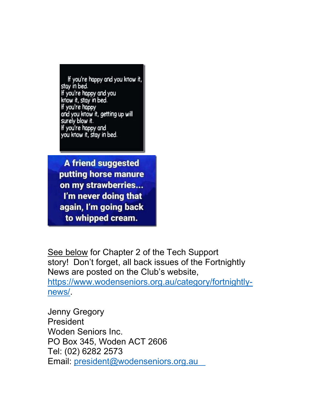If you're happy and you know it, stay in bed. If you're happy and you know it, stay in bed. If you're happy and you know it, getting up will surely blow it. If you're happy and you know it, stay in bed.

**A friend suggested** putting horse manure on my strawberries... I'm never doing that again, I'm going back to whipped cream.

See below for Chapter 2 of the Tech Support story! Don't forget, all back issues of the Fortnightly News are posted on the Club's website, https://www.wodenseniors.org.au/category/fortnightlynews/.

Jenny Gregory President Woden Seniors Inc. PO Box 345, Woden ACT 2606 Tel: (02) 6282 2573 Email: president@wodenseniors.org.au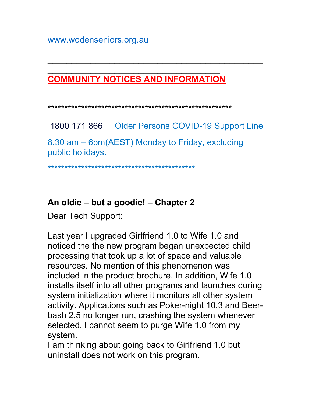### $\overline{\phantom{a}}$  , and the contract of the contract of the contract of the contract of the contract of the contract of the contract of the contract of the contract of the contract of the contract of the contract of the contrac COMMUNITY NOTICES AND INFORMATION

#### \*\*\*\*\*\*\*\*\*\*\*\*\*\*\*\*\*\*\*\*\*\*\*\*\*\*\*\*\*\*\*\*\*\*\*\*\*\*\*\*\*\*\*\*\*\*\*\*\*\*\*\*\*\*\*

1800 171 866 Older Persons COVID-19 Support Line 8.30 am – 6pm(AEST) Monday to Friday, excluding public holidays.

 $\overline{\phantom{a}}$  , and the contract of the contract of the contract of the contract of the contract of the contract of the contract of the contract of the contract of the contract of the contract of the contract of the contrac

### \*\*\*\*\*\*\*\*\*\*\*\*\*\*\*\*\*\*\*\*\*\*\*\*\*\*\*\*\*\*\*\*\*\*\*\*\*\*\*\*\*\*\*\*

### An oldie – but a goodie! – Chapter 2

Dear Tech Support:

Last year I upgraded Girlfriend 1.0 to Wife 1.0 and noticed the the new program began unexpected child processing that took up a lot of space and valuable resources. No mention of this phenomenon was included in the product brochure. In addition, Wife 1.0 installs itself into all other programs and launches during system initialization where it monitors all other system activity. Applications such as Poker-night 10.3 and Beerbash 2.5 no longer run, crashing the system whenever selected. I cannot seem to purge Wife 1.0 from my system.

I am thinking about going back to Girlfriend 1.0 but uninstall does not work on this program.